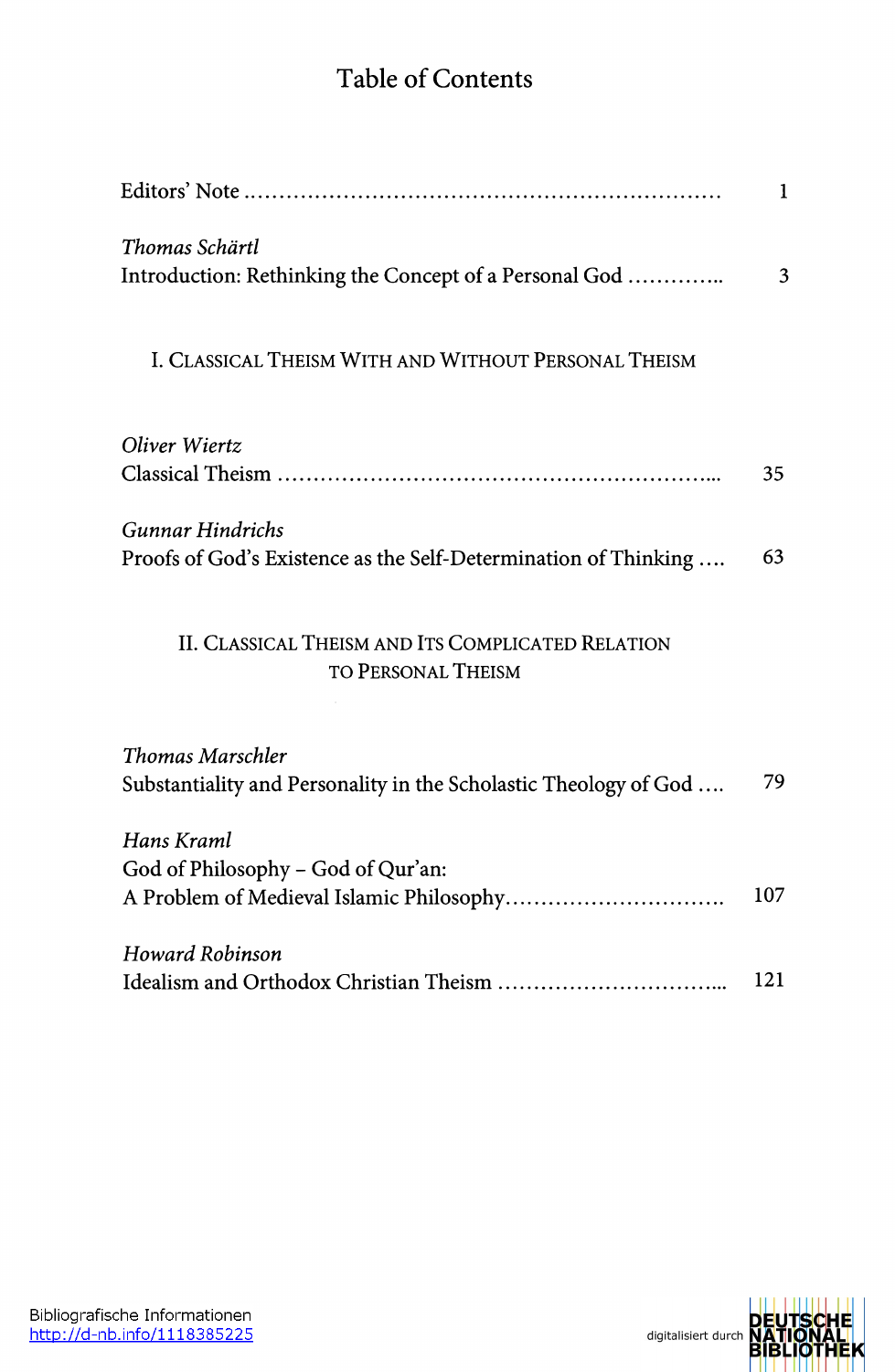## Table of Contents

|                                                                                            | 1   |
|--------------------------------------------------------------------------------------------|-----|
| Thomas Schärtl<br>Introduction: Rethinking the Concept of a Personal God                   | 3   |
| I. CLASSICAL THEISM WITH AND WITHOUT PERSONAL THEISM                                       |     |
| Oliver Wiertz                                                                              |     |
|                                                                                            | 35  |
| <b>Gunnar Hindrichs</b><br>Proofs of God's Existence as the Self-Determination of Thinking | 63  |
| II. CLASSICAL THEISM AND ITS COMPLICATED RELATION<br>TO PERSONAL THEISM                    |     |
| <b>Thomas Marschler</b>                                                                    |     |
| Substantiality and Personality in the Scholastic Theology of God                           | 79  |
| Hans Kraml<br>God of Philosophy - God of Qur'an:                                           | 107 |
| Howard Robinson                                                                            | 121 |